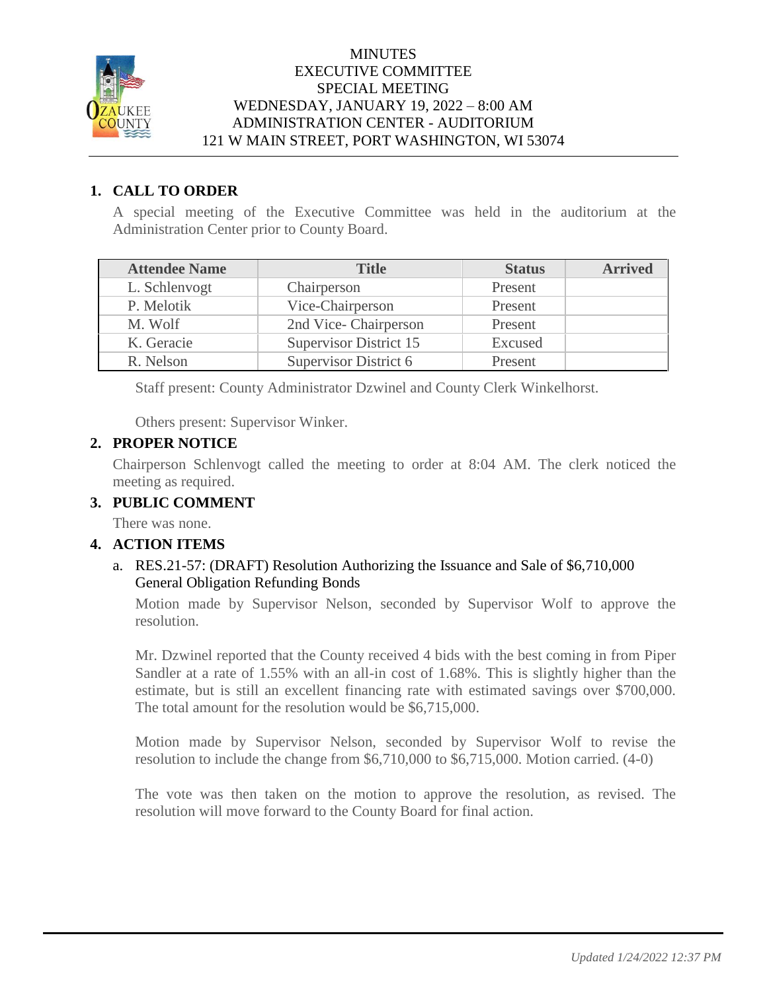

#### **MINUTES** EXECUTIVE COMMITTEE SPECIAL MEETING WEDNESDAY, JANUARY 19, 2022 – 8:00 AM ADMINISTRATION CENTER - AUDITORIUM 121 W MAIN STREET, PORT WASHINGTON, WI 53074

## **1. CALL TO ORDER**

A special meeting of the Executive Committee was held in the auditorium at the Administration Center prior to County Board.

| <b>Attendee Name</b> | <b>Title</b>                  | <b>Status</b> | <b>Arrived</b> |
|----------------------|-------------------------------|---------------|----------------|
| L. Schlenvogt        | Chairperson                   | Present       |                |
| P. Melotik           | Vice-Chairperson              | Present       |                |
| M. Wolf              | 2nd Vice-Chairperson          | Present       |                |
| K. Geracie           | <b>Supervisor District 15</b> | Excused       |                |
| R. Nelson            | Supervisor District 6         | Present       |                |

Staff present: County Administrator Dzwinel and County Clerk Winkelhorst.

Others present: Supervisor Winker.

## **2. PROPER NOTICE**

Chairperson Schlenvogt called the meeting to order at 8:04 AM. The clerk noticed the meeting as required.

## **3. PUBLIC COMMENT**

There was none.

## **4. ACTION ITEMS**

## a. RES.21-57: (DRAFT) Resolution Authorizing the Issuance and Sale of \$6,710,000 General Obligation Refunding Bonds

Motion made by Supervisor Nelson, seconded by Supervisor Wolf to approve the resolution.

Mr. Dzwinel reported that the County received 4 bids with the best coming in from Piper Sandler at a rate of 1.55% with an all-in cost of 1.68%. This is slightly higher than the estimate, but is still an excellent financing rate with estimated savings over \$700,000. The total amount for the resolution would be \$6,715,000.

Motion made by Supervisor Nelson, seconded by Supervisor Wolf to revise the resolution to include the change from \$6,710,000 to \$6,715,000. Motion carried. (4-0)

The vote was then taken on the motion to approve the resolution, as revised. The resolution will move forward to the County Board for final action.